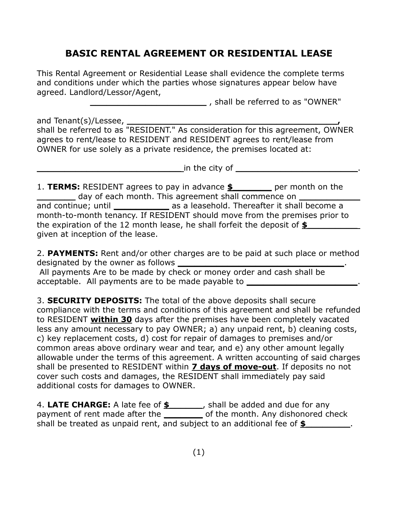## **BASIC RENTAL AGREEMENT OR RESIDENTIAL LEASE**

This Rental Agreement or Residential Lease shall evidence the complete terms and conditions under which the parties whose signatures appear below have agreed. Landlord/Lessor/Agent,

 **\_\_\_\_\_\_\_\_\_\_\_\_\_\_\_\_\_\_\_\_\_** , shall be referred to as "OWNER"

and Tenant(s)/Lessee, **\_\_\_\_\_\_\_\_\_\_\_\_\_\_\_\_\_\_\_\_\_\_\_\_\_\_\_\_\_\_\_\_\_\_\_\_\_\_,** shall be referred to as "RESIDENT." As consideration for this agreement, OWNER agrees to rent/lease to RESIDENT and RESIDENT agrees to rent/lease from OWNER for use solely as a private residence, the premises located at:

**\_\_\_\_\_\_\_\_\_\_\_\_\_\_\_\_\_\_\_\_\_\_\_\_\_\_** in the city of **\_\_\_\_\_\_\_\_\_\_\_\_\_\_\_\_\_\_\_\_\_\_**.

1. **TERMS:** RESIDENT agrees to pay in advance **\$\_\_\_\_\_\_\_** per month on the **\_\_\_\_\_\_\_** day of each month. This agreement shall commence on **\_\_\_\_\_\_\_\_\_\_\_** and continue; until **\_\_\_\_\_\_\_\_\_\_** as a leasehold. Thereafter it shall become a month-to-month tenancy. If RESIDENT should move from the premises prior to the expiration of the 12 month lease, he shall forfeit the deposit of **\$** given at inception of the lease.

2. **PAYMENTS:** Rent and/or other charges are to be paid at such place or method designated by the owner as follows

All payments Are to be made by check or money order and cash shall be acceptable. All payments are to be made payable to **\_\_\_\_\_\_\_\_\_\_\_\_\_\_\_\_\_\_\_\_**.

3. **SECURITY DEPOSITS:** The total of the above deposits shall secure compliance with the terms and conditions of this agreement and shall be refunded to RESIDENT **within 30** days after the premises have been completely vacated less any amount necessary to pay OWNER; a) any unpaid rent, b) cleaning costs, c) key replacement costs, d) cost for repair of damages to premises and/or common areas above ordinary wear and tear, and e) any other amount legally allowable under the terms of this agreement. A written accounting of said charges shall be presented to RESIDENT within **7 days of move-out**. If deposits no not cover such costs and damages, the RESIDENT shall immediately pay said additional costs for damages to OWNER.

4. **LATE CHARGE:** A late fee of **\$\_\_\_\_\_\_**, shall be added and due for any payment of rent made after the **\_\_\_\_\_\_\_** of the month. Any dishonored check shall be treated as unpaid rent, and subject to an additional fee of **\$\_\_\_\_\_\_\_\_**.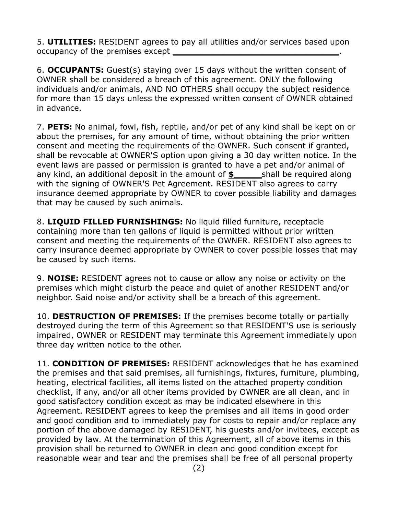5. **UTILITIES:** RESIDENT agrees to pay all utilities and/or services based upon occupancy of the premises except **\_\_\_\_\_\_\_\_\_\_\_\_\_\_\_\_\_\_\_\_\_\_\_\_\_\_\_\_\_\_**.

6. **OCCUPANTS:** Guest(s) staying over 15 days without the written consent of OWNER shall be considered a breach of this agreement. ONLY the following individuals and/or animals, AND NO OTHERS shall occupy the subject residence for more than 15 days unless the expressed written consent of OWNER obtained in advance.

7. **PETS:** No animal, fowl, fish, reptile, and/or pet of any kind shall be kept on or about the premises, for any amount of time, without obtaining the prior written consent and meeting the requirements of the OWNER. Such consent if granted, shall be revocable at OWNER'S option upon giving a 30 day written notice. In the event laws are passed or permission is granted to have a pet and/or animal of any kind, an additional deposit in the amount of **\$\_\_\_\_\_**shall be required along with the signing of OWNER'S Pet Agreement. RESIDENT also agrees to carry insurance deemed appropriate by OWNER to cover possible liability and damages that may be caused by such animals.

8. **LIQUID FILLED FURNISHINGS:** No liquid filled furniture, receptacle containing more than ten gallons of liquid is permitted without prior written consent and meeting the requirements of the OWNER. RESIDENT also agrees to carry insurance deemed appropriate by OWNER to cover possible losses that may be caused by such items.

9. **NOISE:** RESIDENT agrees not to cause or allow any noise or activity on the premises which might disturb the peace and quiet of another RESIDENT and/or neighbor. Said noise and/or activity shall be a breach of this agreement.

10. **DESTRUCTION OF PREMISES:** If the premises become totally or partially destroyed during the term of this Agreement so that RESIDENT'S use is seriously impaired, OWNER or RESIDENT may terminate this Agreement immediately upon three day written notice to the other.

11. **CONDITION OF PREMISES:** RESIDENT acknowledges that he has examined the premises and that said premises, all furnishings, fixtures, furniture, plumbing, heating, electrical facilities, all items listed on the attached property condition checklist, if any, and/or all other items provided by OWNER are all clean, and in good satisfactory condition except as may be indicated elsewhere in this Agreement. RESIDENT agrees to keep the premises and all items in good order and good condition and to immediately pay for costs to repair and/or replace any portion of the above damaged by RESIDENT, his guests and/or invitees, except as provided by law. At the termination of this Agreement, all of above items in this provision shall be returned to OWNER in clean and good condition except for reasonable wear and tear and the premises shall be free of all personal property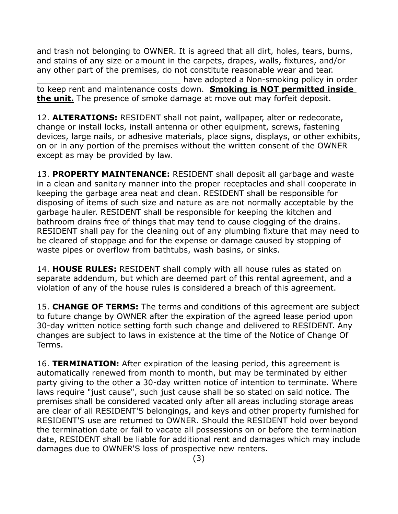and trash not belonging to OWNER. It is agreed that all dirt, holes, tears, burns, and stains of any size or amount in the carpets, drapes, walls, fixtures, and/or any other part of the premises, do not constitute reasonable wear and tear. have adopted a Non-smoking policy in order

to keep rent and maintenance costs down. **Smoking is NOT permitted inside the unit.** The presence of smoke damage at move out may forfeit deposit.

12. **ALTERATIONS:** RESIDENT shall not paint, wallpaper, alter or redecorate, change or install locks, install antenna or other equipment, screws, fastening devices, large nails, or adhesive materials, place signs, displays, or other exhibits, on or in any portion of the premises without the written consent of the OWNER except as may be provided by law.

13. **PROPERTY MAINTENANCE:** RESIDENT shall deposit all garbage and waste in a clean and sanitary manner into the proper receptacles and shall cooperate in keeping the garbage area neat and clean. RESIDENT shall be responsible for disposing of items of such size and nature as are not normally acceptable by the garbage hauler. RESIDENT shall be responsible for keeping the kitchen and bathroom drains free of things that may tend to cause clogging of the drains. RESIDENT shall pay for the cleaning out of any plumbing fixture that may need to be cleared of stoppage and for the expense or damage caused by stopping of waste pipes or overflow from bathtubs, wash basins, or sinks.

14. **HOUSE RULES:** RESIDENT shall comply with all house rules as stated on separate addendum, but which are deemed part of this rental agreement, and a violation of any of the house rules is considered a breach of this agreement.

15. **CHANGE OF TERMS:** The terms and conditions of this agreement are subject to future change by OWNER after the expiration of the agreed lease period upon 30-day written notice setting forth such change and delivered to RESIDENT. Any changes are subject to laws in existence at the time of the Notice of Change Of Terms.

16. **TERMINATION:** After expiration of the leasing period, this agreement is automatically renewed from month to month, but may be terminated by either party giving to the other a 30-day written notice of intention to terminate. Where laws require "just cause", such just cause shall be so stated on said notice. The premises shall be considered vacated only after all areas including storage areas are clear of all RESIDENT'S belongings, and keys and other property furnished for RESIDENT'S use are returned to OWNER. Should the RESIDENT hold over beyond the termination date or fail to vacate all possessions on or before the termination date, RESIDENT shall be liable for additional rent and damages which may include damages due to OWNER'S loss of prospective new renters.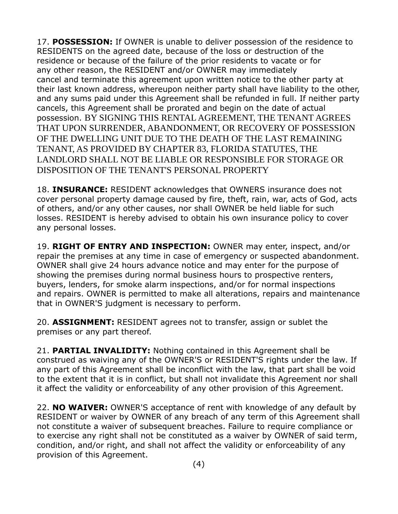17. **POSSESSION:** If OWNER is unable to deliver possession of the residence to RESIDENTS on the agreed date, because of the loss or destruction of the residence or because of the failure of the prior residents to vacate or for any other reason, the RESIDENT and/or OWNER may immediately cancel and terminate this agreement upon written notice to the other party at their last known address, whereupon neither party shall have liability to the other, and any sums paid under this Agreement shall be refunded in full. If neither party cancels, this Agreement shall be prorated and begin on the date of actual possession. BY SIGNING THIS RENTAL AGREEMENT, THE TENANT AGREES THAT UPON SURRENDER, ABANDONMENT, OR RECOVERY OF POSSESSION OF THE DWELLING UNIT DUE TO THE DEATH OF THE LAST REMAINING TENANT, AS PROVIDED BY CHAPTER 83, FLORIDA STATUTES, THE LANDLORD SHALL NOT BE LIABLE OR RESPONSIBLE FOR STORAGE OR DISPOSITION OF THE TENANT'S PERSONAL PROPERTY

18. **INSURANCE:** RESIDENT acknowledges that OWNERS insurance does not cover personal property damage caused by fire, theft, rain, war, acts of God, acts of others, and/or any other causes, nor shall OWNER be held liable for such losses. RESIDENT is hereby advised to obtain his own insurance policy to cover any personal losses.

19. **RIGHT OF ENTRY AND INSPECTION:** OWNER may enter, inspect, and/or repair the premises at any time in case of emergency or suspected abandonment. OWNER shall give 24 hours advance notice and may enter for the purpose of showing the premises during normal business hours to prospective renters, buyers, lenders, for smoke alarm inspections, and/or for normal inspections and repairs. OWNER is permitted to make all alterations, repairs and maintenance that in OWNER'S judgment is necessary to perform.

20. **ASSIGNMENT:** RESIDENT agrees not to transfer, assign or sublet the premises or any part thereof.

21. **PARTIAL INVALIDITY:** Nothing contained in this Agreement shall be construed as waiving any of the OWNER'S or RESIDENT'S rights under the law. If any part of this Agreement shall be inconflict with the law, that part shall be void to the extent that it is in conflict, but shall not invalidate this Agreement nor shall it affect the validity or enforceability of any other provision of this Agreement.

22. **NO WAIVER:** OWNER'S acceptance of rent with knowledge of any default by RESIDENT or waiver by OWNER of any breach of any term of this Agreement shall not constitute a waiver of subsequent breaches. Failure to require compliance or to exercise any right shall not be constituted as a waiver by OWNER of said term, condition, and/or right, and shall not affect the validity or enforceability of any provision of this Agreement.